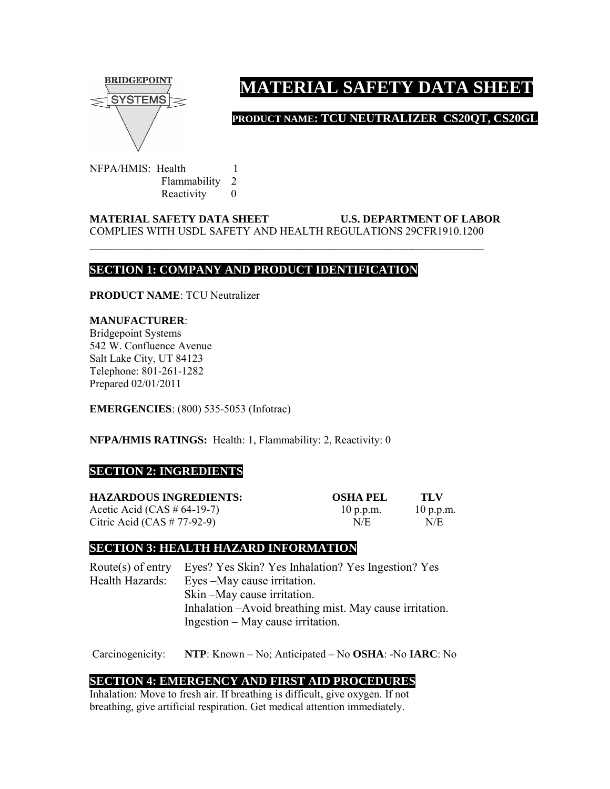

# **MATERIAL SAFETY DATA SHEET**

**PRODUCT NAME: TCU NEUTRALIZER CS20QT, CS20GL**

NFPA/HMIS: Health 1 Flammability 2 Reactivity 0

**MATERIAL SAFETY DATA SHEET U.S. DEPARTMENT OF LABOR** COMPLIES WITH USDL SAFETY AND HEALTH REGULATIONS 29CFR1910.1200

 $\mathcal{L}_\text{max} = \mathcal{L}_\text{max} = \mathcal{L}_\text{max} = \mathcal{L}_\text{max} = \mathcal{L}_\text{max} = \mathcal{L}_\text{max} = \mathcal{L}_\text{max} = \mathcal{L}_\text{max} = \mathcal{L}_\text{max} = \mathcal{L}_\text{max} = \mathcal{L}_\text{max} = \mathcal{L}_\text{max} = \mathcal{L}_\text{max} = \mathcal{L}_\text{max} = \mathcal{L}_\text{max} = \mathcal{L}_\text{max} = \mathcal{L}_\text{max} = \mathcal{L}_\text{max} = \mathcal{$ 

## **SECTION 1: COMPANY AND PRODUCT IDENTIFICATION**

**PRODUCT NAME**: TCU Neutralizer

## **MANUFACTURER**:

Bridgepoint Systems 542 W. Confluence Avenue Salt Lake City, UT 84123 Telephone: 801-261-1282 Prepared 02/01/2011

**EMERGENCIES**: (800) 535-5053 (Infotrac)

**NFPA/HMIS RATINGS:** Health: 1, Flammability: 2, Reactivity: 0

## **SECTION 2: INGREDIENTS**

| <b>HAZARDOUS INGREDIENTS:</b><br>Acetic Acid (CAS $# 64-19-7$ )<br>Citric Acid (CAS $# 77-92-9$ ) | <b>OSHA PEL</b><br>10 p.p.m.<br>N/E | TLV<br>$10$ p.p.m.<br>N/E |
|---------------------------------------------------------------------------------------------------|-------------------------------------|---------------------------|
|---------------------------------------------------------------------------------------------------|-------------------------------------|---------------------------|

## **SECTION 3: HEALTH HAZARD INFORMATION**

Route(s) of entry Health Hazards: Eyes? Yes Skin? Yes Inhalation? Yes Ingestion? Yes Eyes –May cause irritation. Skin –May cause irritation. Inhalation –Avoid breathing mist. May cause irritation. Ingestion – May cause irritation.

Carcinogenicity: **NTP**: Known – No; Anticipated – No **OSHA**: -No **IARC**: No

## **SECTION 4: EMERGENCY AND FIRST AID PROCEDURES**

Inhalation: Move to fresh air. If breathing is difficult, give oxygen. If not breathing, give artificial respiration. Get medical attention immediately.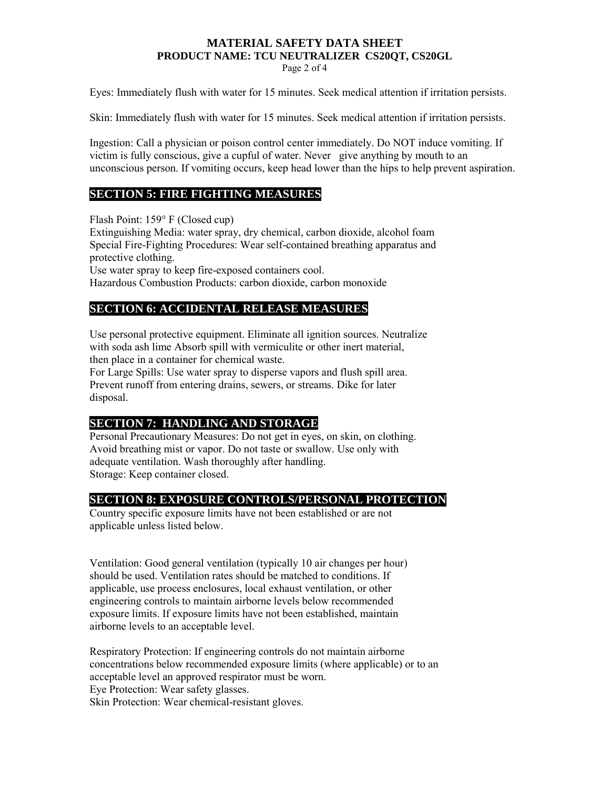## **MATERIAL SAFETY DATA SHEET PRODUCT NAME: TCU NEUTRALIZER CS20QT, CS20GL**

Page 2 of 4

Eyes: Immediately flush with water for 15 minutes. Seek medical attention if irritation persists.

Skin: Immediately flush with water for 15 minutes. Seek medical attention if irritation persists.

Ingestion: Call a physician or poison control center immediately. Do NOT induce vomiting. If victim is fully conscious, give a cupful of water. Never give anything by mouth to an unconscious person. If vomiting occurs, keep head lower than the hips to help prevent aspiration.

### **SECTION 5: FIRE FIGHTING MEASURES**

Flash Point: 159° F (Closed cup)

Extinguishing Media: water spray, dry chemical, carbon dioxide, alcohol foam Special Fire-Fighting Procedures: Wear self-contained breathing apparatus and protective clothing. Use water spray to keep fire-exposed containers cool.

Hazardous Combustion Products: carbon dioxide, carbon monoxide

#### **SECTION 6: ACCIDENTAL RELEASE MEASURES**

Use personal protective equipment. Eliminate all ignition sources. Neutralize with soda ash lime Absorb spill with vermiculite or other inert material, then place in a container for chemical waste.

For Large Spills: Use water spray to disperse vapors and flush spill area. Prevent runoff from entering drains, sewers, or streams. Dike for later disposal.

## **SECTION 7: HANDLING AND STORAGE**

Personal Precautionary Measures: Do not get in eyes, on skin, on clothing. Avoid breathing mist or vapor. Do not taste or swallow. Use only with adequate ventilation. Wash thoroughly after handling. Storage: Keep container closed.

#### **SECTION 8: EXPOSURE CONTROLS/PERSONAL PROTECTION**

Country specific exposure limits have not been established or are not applicable unless listed below.

Ventilation: Good general ventilation (typically 10 air changes per hour) should be used. Ventilation rates should be matched to conditions. If applicable, use process enclosures, local exhaust ventilation, or other engineering controls to maintain airborne levels below recommended exposure limits. If exposure limits have not been established, maintain airborne levels to an acceptable level.

Respiratory Protection: If engineering controls do not maintain airborne concentrations below recommended exposure limits (where applicable) or to an acceptable level an approved respirator must be worn. Eye Protection: Wear safety glasses. Skin Protection: Wear chemical-resistant gloves.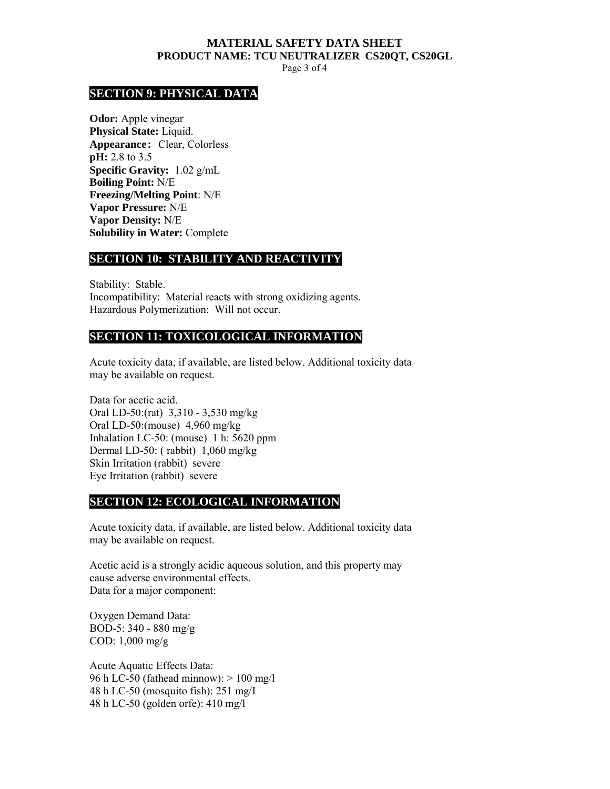#### **MATERIAL SAFETY DATA SHEET PRODUCT NAME: TCU NEUTRALIZER CS20QT, CS20GL**

Page 3 of 4

#### **SECTION 9: PHYSICAL DATA**

**Odor:** Apple vinegar **Physical State:** Liquid. **Appearance:** Clear, Colorless **pH:** 2.8 to 3.5 **Specific Gravity:** 1.02 g/mL **Boiling Point:** N/E **Freezing/Melting Point**: N/E **Vapor Pressure:** N/E **Vapor Density:** N/E **Solubility in Water:** Complete

#### **SECTION 10: STABILITY AND REACTIVITY**

Stability: Stable. Incompatibility: Material reacts with strong oxidizing agents. Hazardous Polymerization: Will not occur.

#### **SECTION 11: TOXICOLOGICAL INFORMATION**

Acute toxicity data, if available, are listed below. Additional toxicity data may be available on request.

Data for acetic acid. Oral LD-50:(rat) 3,310 - 3,530 mg/kg Oral LD-50:(mouse) 4,960 mg/kg Inhalation LC-50: (mouse) 1 h: 5620 ppm Dermal LD-50: ( rabbit) 1,060 mg/kg Skin Irritation (rabbit) severe Eye Irritation (rabbit) severe

#### **SECTION 12: ECOLOGICAL INFORMATION**

Acute toxicity data, if available, are listed below. Additional toxicity data may be available on request.

Acetic acid is a strongly acidic aqueous solution, and this property may cause adverse environmental effects. Data for a major component:

Oxygen Demand Data: BOD-5: 340 - 880 mg/g COD: 1,000 mg/g

Acute Aquatic Effects Data: 96 h LC-50 (fathead minnow): > 100 mg/l 48 h LC-50 (mosquito fish): 251 mg/I 48 h LC-50 (golden orfe): 410 mg/l